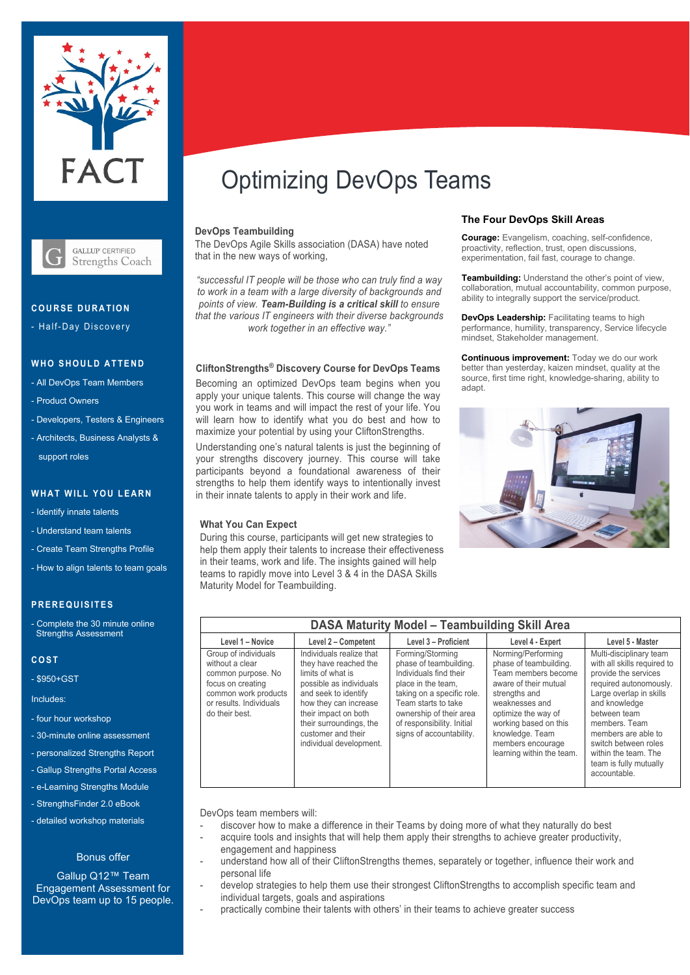



## **C O URSE DURATION**

- Half-Day Discovery

## **WHO SHOULD ATTEND**

- All DevOps Team Members
- Product Owners
- Developers, Testers & Engineers
- Architects, Business Analysts & support roles

### **WHAT WILL YOU LEARN**

- Identify innate talents
- Understand team talents
- Create Team Strengths Profile
- How to align talents to team goals

## **PREREQUISITES**

Complete the 30 minute online Strengths Assessment

#### **COST**

- \$950+GST

Includes:

- four hour workshop
- 30-minute online assessment
- personalized Strengths Report
- Gallup Strengths Portal Access
- e-Learning Strengths Module
- StrengthsFinder 2.0 eBook
- detailed workshop materials

#### Bonus offer

Gallup Q12™ Team Engagement Assessment for DevOps team up to 15 people.

# Optimizing DevOps Teams

### **DevOps Teambuilding**

The DevOps Agile Skills association (DASA) have noted that in the new ways of working,

*"successful IT people will be those who can truly find a way to work in a team with a large diversity of backgrounds and points of view. Team-Building is a critical skill to ensure that the various IT engineers with their diverse backgrounds work together in an effective way."*

#### **CliftonStrengths® Discovery Course for DevOps Teams**

Becoming an optimized DevOps team begins when you apply your unique talents. This course will change the way you work in teams and will impact the rest of your life. You will learn how to identify what you do best and how to maximize your potential by using your CliftonStrengths.

Understanding one's natural talents is just the beginning of your strengths discovery journey. This course will take participants beyond a foundational awareness of their strengths to help them identify ways to intentionally invest in their innate talents to apply in their work and life.

## **What You Can Expect**

During this course, participants will get new strategies to help them apply their talents to increase their effectiveness in their teams, work and life. The insights gained will help teams to rapidly move into Level 3 & 4 in the DASA Skills Maturity Model for Teambuilding.

### **The Four DevOps Skill Areas**

**Courage:** Evangelism, coaching, self-confidence, proactivity, reflection, trust, open discussions, experimentation, fail fast, courage to change.

**Teambuilding:** Understand the other's point of view, collaboration, mutual accountability, common purpose, ability to integrally support the service/product.

**DevOps Leadership:** Facilitating teams to high performance, humility, transparency, Service lifecycle mindset, Stakeholder management.

**Continuous improvement:** Today we do our work better than yesterday, kaizen mindset, quality at the source, first time right, knowledge-sharing, ability to adapt.



| <b>DASA Maturity Model - Teambuilding Skill Area</b>                                                                                                    |                                                                                                                                                                                                                                                        |                                                                                                                                                                                                                                      |                                                                                                                                                                                                                                                      |                                                                                                                                                                                                                                                                                                        |
|---------------------------------------------------------------------------------------------------------------------------------------------------------|--------------------------------------------------------------------------------------------------------------------------------------------------------------------------------------------------------------------------------------------------------|--------------------------------------------------------------------------------------------------------------------------------------------------------------------------------------------------------------------------------------|------------------------------------------------------------------------------------------------------------------------------------------------------------------------------------------------------------------------------------------------------|--------------------------------------------------------------------------------------------------------------------------------------------------------------------------------------------------------------------------------------------------------------------------------------------------------|
| Level 1 - Novice                                                                                                                                        | Level 2 - Competent                                                                                                                                                                                                                                    | Level 3 - Proficient                                                                                                                                                                                                                 | Level 4 - Expert                                                                                                                                                                                                                                     | Level 5 - Master                                                                                                                                                                                                                                                                                       |
| Group of individuals<br>without a clear<br>common purpose. No<br>focus on creating<br>common work products<br>or results. Individuals<br>do their best. | Individuals realize that<br>they have reached the<br>limits of what is<br>possible as individuals<br>and seek to identify<br>how they can increase<br>their impact on both<br>their surroundings, the<br>customer and their<br>individual development. | Forming/Storming<br>phase of teambuilding.<br>Individuals find their<br>place in the team.<br>taking on a specific role.<br>Team starts to take<br>ownership of their area<br>of responsibility. Initial<br>signs of accountability. | Norming/Performing<br>phase of teambuilding.<br>Team members become<br>aware of their mutual<br>strengths and<br>weaknesses and<br>optimize the way of<br>working based on this<br>knowledge. Team<br>members encourage<br>learning within the team. | Multi-disciplinary team<br>with all skills required to<br>provide the services<br>required autonomously.<br>Large overlap in skills<br>and knowledge<br>between team<br>members. Team<br>members are able to<br>switch between roles<br>within the team. The<br>team is fully mutually<br>accountable. |

DevOps team members will:

- discover how to make a difference in their Teams by doing more of what they naturally do best
- acquire tools and insights that will help them apply their strengths to achieve greater productivity, engagement and happiness
- understand how all of their CliftonStrengths themes, separately or together, influence their work and personal life
- develop strategies to help them use their strongest CliftonStrengths to accomplish specific team and individual targets, goals and aspirations
- practically combine their talents with others' in their teams to achieve greater success